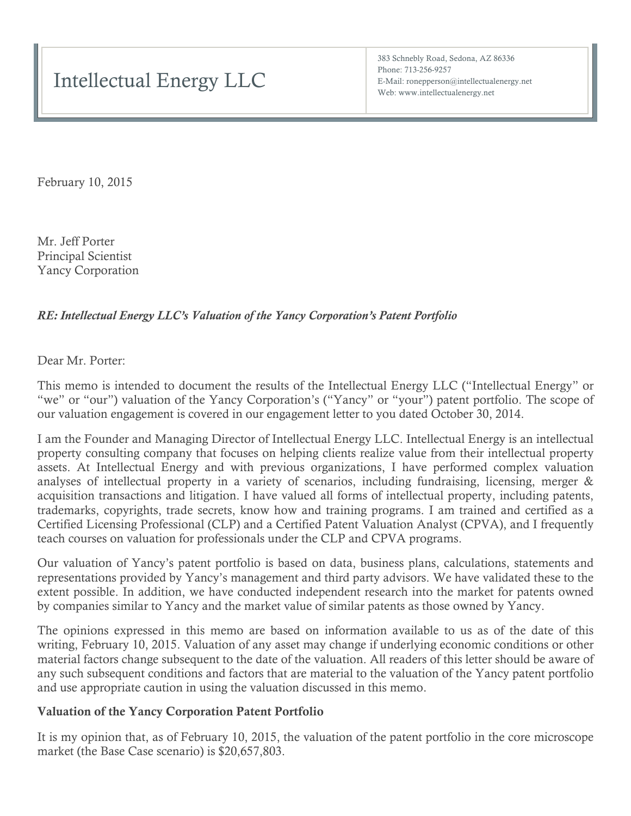383 Schnebly Road, Sedona, AZ 86336 Phone: 713-256-9257 E-Mail: ronepperson@intellectualenergy.net Web: www.intellectualenergy.net

February 10, 2015

Mr. Jeff Porter Principal Scientist Yancy Corporation

## *RE: Intellectual Energy LLC's Valuation of the Yancy Corporation's Patent Portfolio*

Dear Mr. Porter:

This memo is intended to document the results of the Intellectual Energy LLC ("Intellectual Energy" or "we" or "our") valuation of the Yancy Corporation's ("Yancy" or "your") patent portfolio. The scope of our valuation engagement is covered in our engagement letter to you dated October 30, 2014.

I am the Founder and Managing Director of Intellectual Energy LLC. Intellectual Energy is an intellectual property consulting company that focuses on helping clients realize value from their intellectual property assets. At Intellectual Energy and with previous organizations, I have performed complex valuation analyses of intellectual property in a variety of scenarios, including fundraising, licensing, merger & acquisition transactions and litigation. I have valued all forms of intellectual property, including patents, trademarks, copyrights, trade secrets, know how and training programs. I am trained and certified as a Certified Licensing Professional (CLP) and a Certified Patent Valuation Analyst (CPVA), and I frequently teach courses on valuation for professionals under the CLP and CPVA programs.

Our valuation of Yancy's patent portfolio is based on data, business plans, calculations, statements and representations provided by Yancy's management and third party advisors. We have validated these to the extent possible. In addition, we have conducted independent research into the market for patents owned by companies similar to Yancy and the market value of similar patents as those owned by Yancy.

The opinions expressed in this memo are based on information available to us as of the date of this writing, February 10, 2015. Valuation of any asset may change if underlying economic conditions or other material factors change subsequent to the date of the valuation. All readers of this letter should be aware of any such subsequent conditions and factors that are material to the valuation of the Yancy patent portfolio and use appropriate caution in using the valuation discussed in this memo.

### Valuation of the Yancy Corporation Patent Portfolio

It is my opinion that, as of February 10, 2015, the valuation of the patent portfolio in the core microscope market (the Base Case scenario) is \$20,657,803.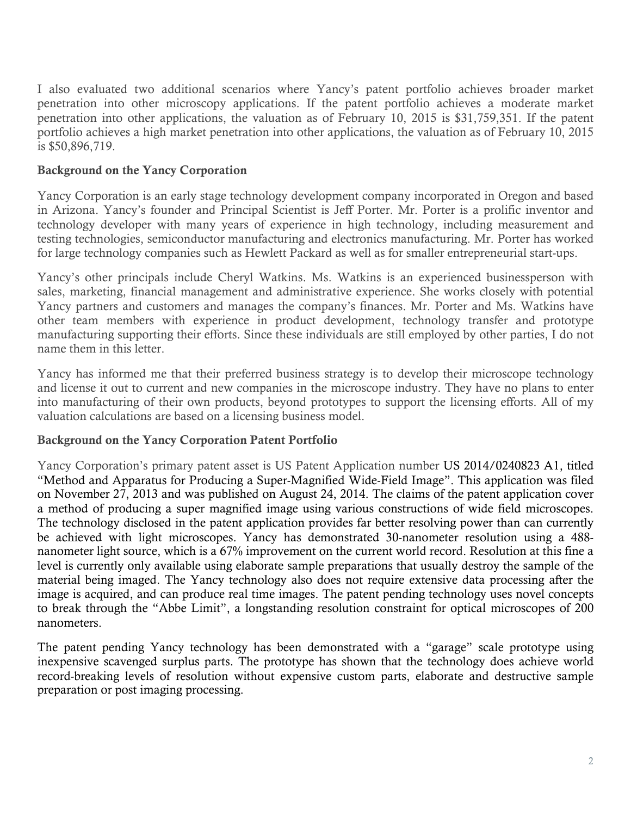I also evaluated two additional scenarios where Yancy's patent portfolio achieves broader market penetration into other microscopy applications. If the patent portfolio achieves a moderate market penetration into other applications, the valuation as of February 10, 2015 is \$31,759,351. If the patent portfolio achieves a high market penetration into other applications, the valuation as of February 10, 2015 is \$50,896,719.

# Background on the Yancy Corporation

Yancy Corporation is an early stage technology development company incorporated in Oregon and based in Arizona. Yancy's founder and Principal Scientist is Jeff Porter. Mr. Porter is a prolific inventor and technology developer with many years of experience in high technology, including measurement and testing technologies, semiconductor manufacturing and electronics manufacturing. Mr. Porter has worked for large technology companies such as Hewlett Packard as well as for smaller entrepreneurial start-ups.

Yancy's other principals include Cheryl Watkins. Ms. Watkins is an experienced businessperson with sales, marketing, financial management and administrative experience. She works closely with potential Yancy partners and customers and manages the company's finances. Mr. Porter and Ms. Watkins have other team members with experience in product development, technology transfer and prototype manufacturing supporting their efforts. Since these individuals are still employed by other parties, I do not name them in this letter.

Yancy has informed me that their preferred business strategy is to develop their microscope technology and license it out to current and new companies in the microscope industry. They have no plans to enter into manufacturing of their own products, beyond prototypes to support the licensing efforts. All of my valuation calculations are based on a licensing business model.

### Background on the Yancy Corporation Patent Portfolio

Yancy Corporation's primary patent asset is US Patent Application number US 2014/0240823 A1, titled "Method and Apparatus for Producing a Super-Magnified Wide-Field Image". This application was filed on November 27, 2013 and was published on August 24, 2014. The claims of the patent application cover a method of producing a super magnified image using various constructions of wide field microscopes. The technology disclosed in the patent application provides far better resolving power than can currently be achieved with light microscopes. Yancy has demonstrated 30-nanometer resolution using a 488 nanometer light source, which is a 67% improvement on the current world record. Resolution at this fine a level is currently only available using elaborate sample preparations that usually destroy the sample of the material being imaged. The Yancy technology also does not require extensive data processing after the image is acquired, and can produce real time images. The patent pending technology uses novel concepts to break through the "Abbe Limit", a longstanding resolution constraint for optical microscopes of 200 nanometers.

The patent pending Yancy technology has been demonstrated with a "garage" scale prototype using inexpensive scavenged surplus parts. The prototype has shown that the technology does achieve world record-breaking levels of resolution without expensive custom parts, elaborate and destructive sample preparation or post imaging processing.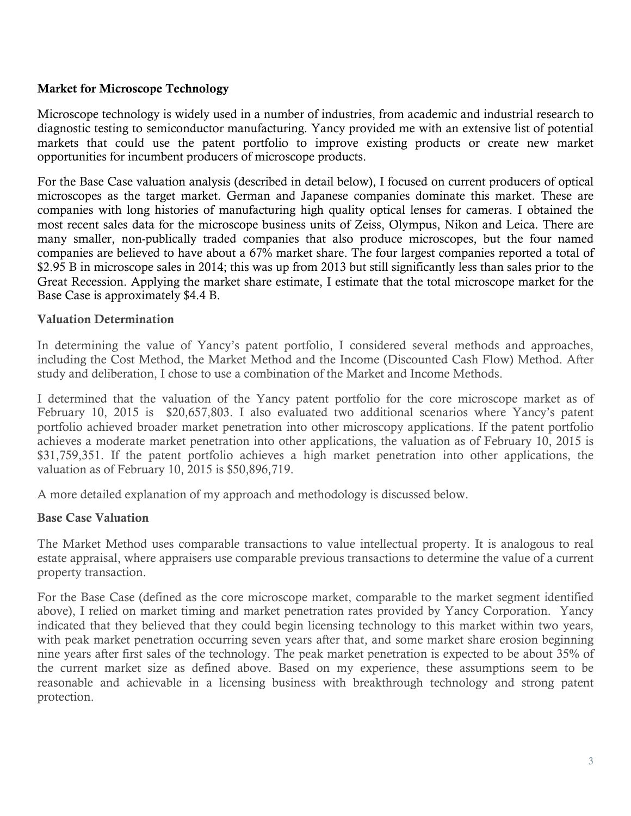## Market for Microscope Technology

Microscope technology is widely used in a number of industries, from academic and industrial research to diagnostic testing to semiconductor manufacturing. Yancy provided me with an extensive list of potential markets that could use the patent portfolio to improve existing products or create new market opportunities for incumbent producers of microscope products.

For the Base Case valuation analysis (described in detail below), I focused on current producers of optical microscopes as the target market. German and Japanese companies dominate this market. These are companies with long histories of manufacturing high quality optical lenses for cameras. I obtained the most recent sales data for the microscope business units of Zeiss, Olympus, Nikon and Leica. There are many smaller, non-publically traded companies that also produce microscopes, but the four named companies are believed to have about a 67% market share. The four largest companies reported a total of \$2.95 B in microscope sales in 2014; this was up from 2013 but still significantly less than sales prior to the Great Recession. Applying the market share estimate, I estimate that the total microscope market for the Base Case is approximately \$4.4 B.

### Valuation Determination

In determining the value of Yancy's patent portfolio, I considered several methods and approaches, including the Cost Method, the Market Method and the Income (Discounted Cash Flow) Method. After study and deliberation, I chose to use a combination of the Market and Income Methods.

I determined that the valuation of the Yancy patent portfolio for the core microscope market as of February 10, 2015 is \$20,657,803. I also evaluated two additional scenarios where Yancy's patent portfolio achieved broader market penetration into other microscopy applications. If the patent portfolio achieves a moderate market penetration into other applications, the valuation as of February 10, 2015 is \$31,759,351. If the patent portfolio achieves a high market penetration into other applications, the valuation as of February 10, 2015 is \$50,896,719.

A more detailed explanation of my approach and methodology is discussed below.

### Base Case Valuation

The Market Method uses comparable transactions to value intellectual property. It is analogous to real estate appraisal, where appraisers use comparable previous transactions to determine the value of a current property transaction.

For the Base Case (defined as the core microscope market, comparable to the market segment identified above), I relied on market timing and market penetration rates provided by Yancy Corporation. Yancy indicated that they believed that they could begin licensing technology to this market within two years, with peak market penetration occurring seven years after that, and some market share erosion beginning nine years after first sales of the technology. The peak market penetration is expected to be about 35% of the current market size as defined above. Based on my experience, these assumptions seem to be reasonable and achievable in a licensing business with breakthrough technology and strong patent protection.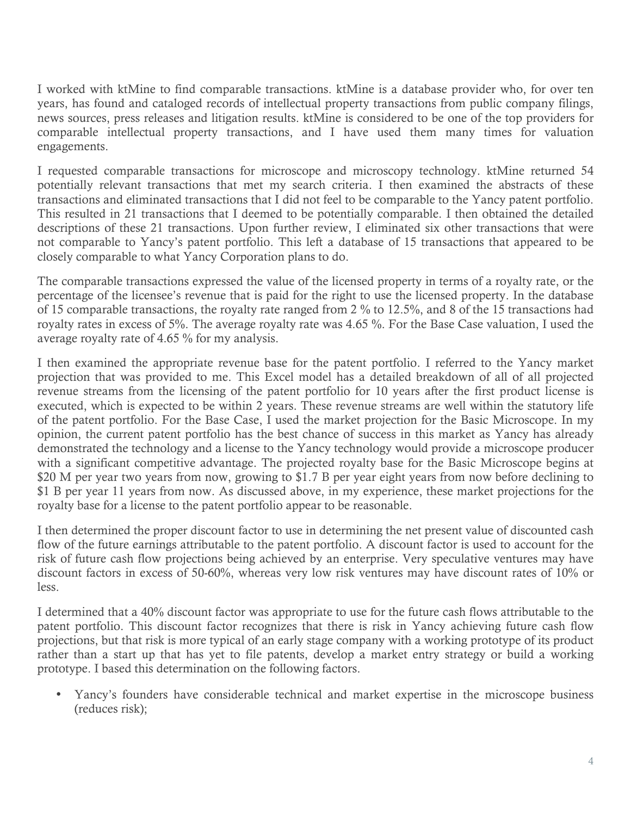I worked with ktMine to find comparable transactions. ktMine is a database provider who, for over ten years, has found and cataloged records of intellectual property transactions from public company filings, news sources, press releases and litigation results. ktMine is considered to be one of the top providers for comparable intellectual property transactions, and I have used them many times for valuation engagements.

I requested comparable transactions for microscope and microscopy technology. ktMine returned 54 potentially relevant transactions that met my search criteria. I then examined the abstracts of these transactions and eliminated transactions that I did not feel to be comparable to the Yancy patent portfolio. This resulted in 21 transactions that I deemed to be potentially comparable. I then obtained the detailed descriptions of these 21 transactions. Upon further review, I eliminated six other transactions that were not comparable to Yancy's patent portfolio. This left a database of 15 transactions that appeared to be closely comparable to what Yancy Corporation plans to do.

The comparable transactions expressed the value of the licensed property in terms of a royalty rate, or the percentage of the licensee's revenue that is paid for the right to use the licensed property. In the database of 15 comparable transactions, the royalty rate ranged from 2 % to 12.5%, and 8 of the 15 transactions had royalty rates in excess of 5%. The average royalty rate was 4.65 %. For the Base Case valuation, I used the average royalty rate of 4.65 % for my analysis.

I then examined the appropriate revenue base for the patent portfolio. I referred to the Yancy market projection that was provided to me. This Excel model has a detailed breakdown of all of all projected revenue streams from the licensing of the patent portfolio for 10 years after the first product license is executed, which is expected to be within 2 years. These revenue streams are well within the statutory life of the patent portfolio. For the Base Case, I used the market projection for the Basic Microscope. In my opinion, the current patent portfolio has the best chance of success in this market as Yancy has already demonstrated the technology and a license to the Yancy technology would provide a microscope producer with a significant competitive advantage. The projected royalty base for the Basic Microscope begins at \$20 M per year two years from now, growing to \$1.7 B per year eight years from now before declining to \$1 B per year 11 years from now. As discussed above, in my experience, these market projections for the royalty base for a license to the patent portfolio appear to be reasonable.

I then determined the proper discount factor to use in determining the net present value of discounted cash flow of the future earnings attributable to the patent portfolio. A discount factor is used to account for the risk of future cash flow projections being achieved by an enterprise. Very speculative ventures may have discount factors in excess of 50-60%, whereas very low risk ventures may have discount rates of 10% or less.

I determined that a 40% discount factor was appropriate to use for the future cash flows attributable to the patent portfolio. This discount factor recognizes that there is risk in Yancy achieving future cash flow projections, but that risk is more typical of an early stage company with a working prototype of its product rather than a start up that has yet to file patents, develop a market entry strategy or build a working prototype. I based this determination on the following factors.

• Yancy's founders have considerable technical and market expertise in the microscope business (reduces risk);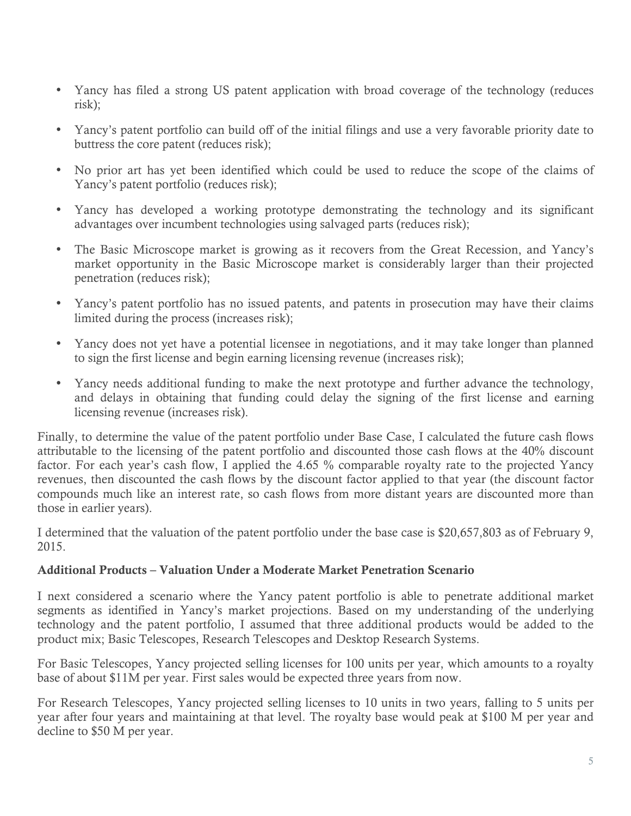- Yancy has filed a strong US patent application with broad coverage of the technology (reduces risk);
- Yancy's patent portfolio can build off of the initial filings and use a very favorable priority date to buttress the core patent (reduces risk);
- No prior art has yet been identified which could be used to reduce the scope of the claims of Yancy's patent portfolio (reduces risk);
- Yancy has developed a working prototype demonstrating the technology and its significant advantages over incumbent technologies using salvaged parts (reduces risk);
- The Basic Microscope market is growing as it recovers from the Great Recession, and Yancy's market opportunity in the Basic Microscope market is considerably larger than their projected penetration (reduces risk);
- Yancy's patent portfolio has no issued patents, and patents in prosecution may have their claims limited during the process (increases risk);
- Yancy does not yet have a potential licensee in negotiations, and it may take longer than planned to sign the first license and begin earning licensing revenue (increases risk);
- Yancy needs additional funding to make the next prototype and further advance the technology, and delays in obtaining that funding could delay the signing of the first license and earning licensing revenue (increases risk).

Finally, to determine the value of the patent portfolio under Base Case, I calculated the future cash flows attributable to the licensing of the patent portfolio and discounted those cash flows at the 40% discount factor. For each year's cash flow, I applied the 4.65 % comparable royalty rate to the projected Yancy revenues, then discounted the cash flows by the discount factor applied to that year (the discount factor compounds much like an interest rate, so cash flows from more distant years are discounted more than those in earlier years).

I determined that the valuation of the patent portfolio under the base case is \$20,657,803 as of February 9, 2015.

# Additional Products – Valuation Under a Moderate Market Penetration Scenario

I next considered a scenario where the Yancy patent portfolio is able to penetrate additional market segments as identified in Yancy's market projections. Based on my understanding of the underlying technology and the patent portfolio, I assumed that three additional products would be added to the product mix; Basic Telescopes, Research Telescopes and Desktop Research Systems.

For Basic Telescopes, Yancy projected selling licenses for 100 units per year, which amounts to a royalty base of about \$11M per year. First sales would be expected three years from now.

For Research Telescopes, Yancy projected selling licenses to 10 units in two years, falling to 5 units per year after four years and maintaining at that level. The royalty base would peak at \$100 M per year and decline to \$50 M per year.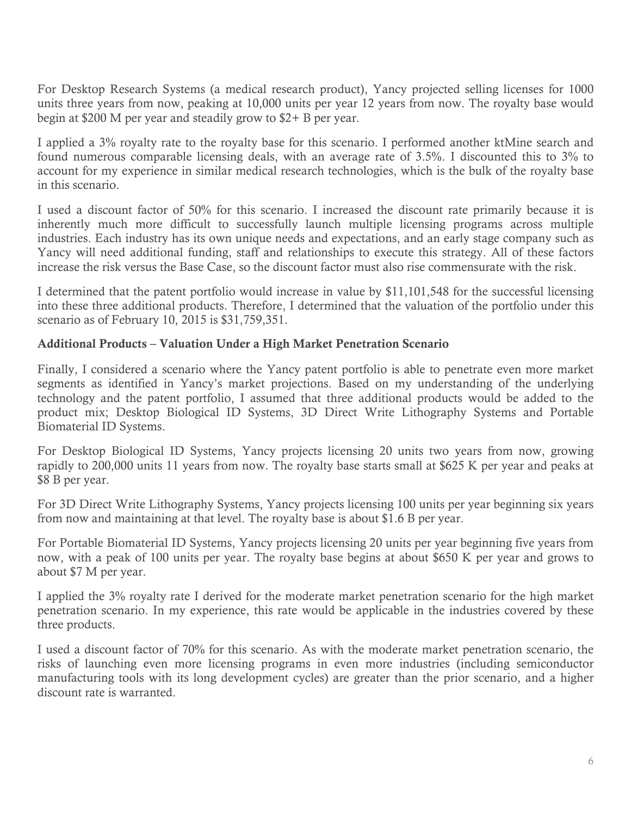For Desktop Research Systems (a medical research product), Yancy projected selling licenses for 1000 units three years from now, peaking at 10,000 units per year 12 years from now. The royalty base would begin at \$200 M per year and steadily grow to \$2+ B per year.

I applied a 3% royalty rate to the royalty base for this scenario. I performed another ktMine search and found numerous comparable licensing deals, with an average rate of 3.5%. I discounted this to 3% to account for my experience in similar medical research technologies, which is the bulk of the royalty base in this scenario.

I used a discount factor of 50% for this scenario. I increased the discount rate primarily because it is inherently much more difficult to successfully launch multiple licensing programs across multiple industries. Each industry has its own unique needs and expectations, and an early stage company such as Yancy will need additional funding, staff and relationships to execute this strategy. All of these factors increase the risk versus the Base Case, so the discount factor must also rise commensurate with the risk.

I determined that the patent portfolio would increase in value by \$11,101,548 for the successful licensing into these three additional products. Therefore, I determined that the valuation of the portfolio under this scenario as of February 10, 2015 is \$31,759,351.

## Additional Products – Valuation Under a High Market Penetration Scenario

Finally, I considered a scenario where the Yancy patent portfolio is able to penetrate even more market segments as identified in Yancy's market projections. Based on my understanding of the underlying technology and the patent portfolio, I assumed that three additional products would be added to the product mix; Desktop Biological ID Systems, 3D Direct Write Lithography Systems and Portable Biomaterial ID Systems.

For Desktop Biological ID Systems, Yancy projects licensing 20 units two years from now, growing rapidly to 200,000 units 11 years from now. The royalty base starts small at \$625 K per year and peaks at \$8 B per year.

For 3D Direct Write Lithography Systems, Yancy projects licensing 100 units per year beginning six years from now and maintaining at that level. The royalty base is about \$1.6 B per year.

For Portable Biomaterial ID Systems, Yancy projects licensing 20 units per year beginning five years from now, with a peak of 100 units per year. The royalty base begins at about \$650 K per year and grows to about \$7 M per year.

I applied the 3% royalty rate I derived for the moderate market penetration scenario for the high market penetration scenario. In my experience, this rate would be applicable in the industries covered by these three products.

I used a discount factor of 70% for this scenario. As with the moderate market penetration scenario, the risks of launching even more licensing programs in even more industries (including semiconductor manufacturing tools with its long development cycles) are greater than the prior scenario, and a higher discount rate is warranted.